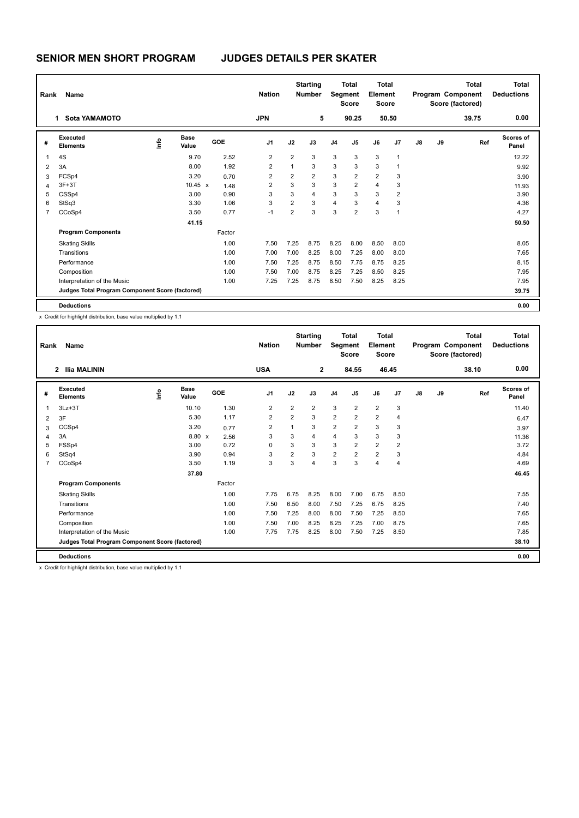# **SENIOR MEN SHORT PROGRAM JUDGES DETAILS PER SKATER**

| Rank           | Name                                            |      |                      |            | <b>Nation</b>  |                |                | <b>Starting</b><br><b>Number</b> |                | <b>Total</b><br>Segment<br><b>Score</b> | <b>Total</b><br>Element<br><b>Score</b> |                |    |    | <b>Total</b><br>Program Component<br>Score (factored) | Total<br><b>Deductions</b> |
|----------------|-------------------------------------------------|------|----------------------|------------|----------------|----------------|----------------|----------------------------------|----------------|-----------------------------------------|-----------------------------------------|----------------|----|----|-------------------------------------------------------|----------------------------|
|                | Sota YAMAMOTO<br>1.                             |      |                      |            | <b>JPN</b>     |                |                | 5                                |                | 90.25                                   |                                         | 50.50          |    |    | 39.75                                                 | 0.00                       |
| #              | Executed<br><b>Elements</b>                     | ١r۴o | <b>Base</b><br>Value | <b>GOE</b> | J <sub>1</sub> |                | J2             | J3                               | J <sub>4</sub> | J <sub>5</sub>                          | J6                                      | J <sub>7</sub> | J8 | J9 | Ref                                                   | Scores of<br>Panel         |
| 1              | 4S                                              |      | 9.70                 | 2.52       |                | 2              | $\overline{2}$ | 3                                | 3              | 3                                       | 3                                       | 1              |    |    |                                                       | 12.22                      |
| 2              | 3A                                              |      | 8.00                 | 1.92       |                | $\overline{2}$ | $\mathbf{1}$   | 3                                | 3              | 3                                       | 3                                       |                |    |    |                                                       | 9.92                       |
| 3              | FCSp4                                           |      | 3.20                 | 0.70       |                | 2              | $\overline{2}$ | $\overline{2}$                   | 3              | $\overline{2}$                          | $\overline{2}$                          | 3              |    |    |                                                       | 3.90                       |
| $\overline{4}$ | $3F+3T$                                         |      | 10.45 $x$            | 1.48       |                | $\overline{2}$ | 3              | 3                                | 3              | 2                                       | $\overline{4}$                          | 3              |    |    |                                                       | 11.93                      |
| 5              | CSSp4                                           |      | 3.00                 | 0.90       |                | 3              | 3              | 4                                | 3              | 3                                       | 3                                       | $\overline{2}$ |    |    |                                                       | 3.90                       |
| 6              | StSq3                                           |      | 3.30                 | 1.06       |                | 3              | $\overline{2}$ | 3                                | $\overline{4}$ | 3                                       | $\overline{4}$                          | 3              |    |    |                                                       | 4.36                       |
| $\overline{7}$ | CCoSp4                                          |      | 3.50                 | 0.77       |                | $-1$           | $\overline{2}$ | 3                                | 3              | 2                                       | 3                                       | 1              |    |    |                                                       | 4.27                       |
|                |                                                 |      | 41.15                |            |                |                |                |                                  |                |                                         |                                         |                |    |    |                                                       | 50.50                      |
|                | <b>Program Components</b>                       |      |                      | Factor     |                |                |                |                                  |                |                                         |                                         |                |    |    |                                                       |                            |
|                | <b>Skating Skills</b>                           |      |                      | 1.00       |                | 7.50           | 7.25           | 8.75                             | 8.25           | 8.00                                    | 8.50                                    | 8.00           |    |    |                                                       | 8.05                       |
|                | Transitions                                     |      |                      | 1.00       |                | 7.00           | 7.00           | 8.25                             | 8.00           | 7.25                                    | 8.00                                    | 8.00           |    |    |                                                       | 7.65                       |
|                | Performance                                     |      |                      | 1.00       |                | 7.50           | 7.25           | 8.75                             | 8.50           | 7.75                                    | 8.75                                    | 8.25           |    |    |                                                       | 8.15                       |
|                | Composition                                     |      |                      | 1.00       |                | 7.50           | 7.00           | 8.75                             | 8.25           | 7.25                                    | 8.50                                    | 8.25           |    |    |                                                       | 7.95                       |
|                | Interpretation of the Music                     |      |                      | 1.00       |                | 7.25           | 7.25           | 8.75                             | 8.50           | 7.50                                    | 8.25                                    | 8.25           |    |    |                                                       | 7.95                       |
|                | Judges Total Program Component Score (factored) |      |                      |            |                |                |                |                                  |                |                                         |                                         |                |    |    |                                                       | 39.75                      |
|                | <b>Deductions</b>                               |      |                      |            |                |                |                |                                  |                |                                         |                                         |                |    |    |                                                       | 0.00                       |

x Credit for highlight distribution, base value multiplied by 1.1

| Rank           | Name                                            |      |                      |        | <b>Nation</b>  |                | <b>Starting</b><br><b>Number</b> | Segment        | <b>Total</b><br><b>Score</b> | <b>Total</b><br>Element<br><b>Score</b> |                |               |    | <b>Total</b><br>Program Component<br>Score (factored) | <b>Total</b><br><b>Deductions</b> |
|----------------|-------------------------------------------------|------|----------------------|--------|----------------|----------------|----------------------------------|----------------|------------------------------|-----------------------------------------|----------------|---------------|----|-------------------------------------------------------|-----------------------------------|
|                | <b>Ilia MALININ</b><br>$\overline{2}$           |      |                      |        | <b>USA</b>     |                | $\mathbf{2}$                     |                | 84.55                        |                                         | 46.45          |               |    | 38.10                                                 | 0.00                              |
| #              | Executed<br><b>Elements</b>                     | Info | <b>Base</b><br>Value | GOE    | J <sub>1</sub> | J2             | J3                               | J <sub>4</sub> | J5                           | J6                                      | J7             | $\mathsf{J}8$ | J9 | Ref                                                   | <b>Scores of</b><br>Panel         |
| 1              | $3Lz + 3T$                                      |      | 10.10                | 1.30   | $\overline{2}$ | $\overline{2}$ | $\overline{2}$                   | 3              | 2                            | $\overline{2}$                          | 3              |               |    |                                                       | 11.40                             |
| 2              | 3F                                              |      | 5.30                 | 1.17   | $\overline{2}$ | $\overline{2}$ | 3                                | 2              | $\overline{2}$               | $\overline{2}$                          | $\overline{4}$ |               |    |                                                       | 6.47                              |
| 3              | CCSp4                                           |      | 3.20                 | 0.77   | $\overline{2}$ | $\overline{ }$ | 3                                | $\overline{2}$ | $\overline{2}$               | 3                                       | 3              |               |    |                                                       | 3.97                              |
| $\overline{4}$ | 3A                                              |      | 8.80 x               | 2.56   | 3              | 3              | 4                                | $\overline{4}$ | 3                            | 3                                       | 3              |               |    |                                                       | 11.36                             |
| 5              | FSSp4                                           |      | 3.00                 | 0.72   | $\mathbf 0$    | 3              | 3                                | 3              | $\overline{2}$               | $\overline{2}$                          | $\overline{2}$ |               |    |                                                       | 3.72                              |
| 6              | StSq4                                           |      | 3.90                 | 0.94   | 3              | $\overline{2}$ | 3                                | $\overline{2}$ | $\overline{2}$               | $\overline{2}$                          | 3              |               |    |                                                       | 4.84                              |
| $\overline{7}$ | CCoSp4                                          |      | 3.50                 | 1.19   | 3              | 3              | 4                                | 3              | 3                            | 4                                       | $\overline{4}$ |               |    |                                                       | 4.69                              |
|                |                                                 |      | 37.80                |        |                |                |                                  |                |                              |                                         |                |               |    |                                                       | 46.45                             |
|                | <b>Program Components</b>                       |      |                      | Factor |                |                |                                  |                |                              |                                         |                |               |    |                                                       |                                   |
|                | <b>Skating Skills</b>                           |      |                      | 1.00   | 7.75           | 6.75           | 8.25                             | 8.00           | 7.00                         | 6.75                                    | 8.50           |               |    |                                                       | 7.55                              |
|                | Transitions                                     |      |                      | 1.00   | 7.50           | 6.50           | 8.00                             | 7.50           | 7.25                         | 6.75                                    | 8.25           |               |    |                                                       | 7.40                              |
|                | Performance                                     |      |                      | 1.00   | 7.50           | 7.25           | 8.00                             | 8.00           | 7.50                         | 7.25                                    | 8.50           |               |    |                                                       | 7.65                              |
|                | Composition                                     |      |                      | 1.00   | 7.50           | 7.00           | 8.25                             | 8.25           | 7.25                         | 7.00                                    | 8.75           |               |    |                                                       | 7.65                              |
|                | Interpretation of the Music                     |      |                      | 1.00   | 7.75           | 7.75           | 8.25                             | 8.00           | 7.50                         | 7.25                                    | 8.50           |               |    |                                                       | 7.85                              |
|                | Judges Total Program Component Score (factored) |      |                      |        |                |                |                                  |                |                              |                                         |                |               |    |                                                       | 38.10                             |
|                | <b>Deductions</b>                               |      |                      |        |                |                |                                  |                |                              |                                         |                |               |    |                                                       | 0.00                              |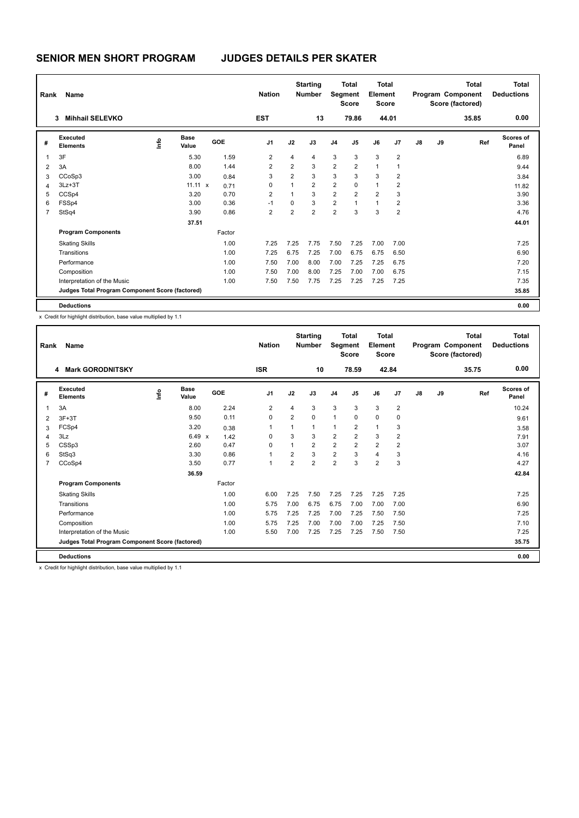| Rank           | Name                                            |    |                      |            | <b>Nation</b>  |                | <b>Starting</b><br><b>Number</b> |                | <b>Total</b><br>Segment<br><b>Score</b> | <b>Total</b><br>Element<br><b>Score</b> |                |    |    | <b>Total</b><br>Program Component<br>Score (factored) | <b>Total</b><br><b>Deductions</b> |
|----------------|-------------------------------------------------|----|----------------------|------------|----------------|----------------|----------------------------------|----------------|-----------------------------------------|-----------------------------------------|----------------|----|----|-------------------------------------------------------|-----------------------------------|
|                | <b>Mihhail SELEVKO</b><br>3                     |    |                      |            | <b>EST</b>     |                | 13                               |                | 79.86                                   |                                         | 44.01          |    |    | 35.85                                                 | 0.00                              |
| #              | Executed<br><b>Elements</b>                     | ١m | <b>Base</b><br>Value | <b>GOE</b> | J <sub>1</sub> | J2             | J3                               | J <sub>4</sub> | J5                                      | J6                                      | J <sub>7</sub> | J8 | J9 | Ref                                                   | <b>Scores of</b><br>Panel         |
| 1              | 3F                                              |    | 5.30                 | 1.59       | $\overline{2}$ | 4              | $\overline{4}$                   | 3              | 3                                       | 3                                       | $\overline{2}$ |    |    |                                                       | 6.89                              |
| $\overline{2}$ | 3A                                              |    | 8.00                 | 1.44       | $\overline{2}$ | $\overline{2}$ | 3                                | $\overline{2}$ | $\overline{2}$                          | $\mathbf{1}$                            | 1              |    |    |                                                       | 9.44                              |
| 3              | CCoSp3                                          |    | 3.00                 | 0.84       | 3              | $\overline{2}$ | 3                                | 3              | 3                                       | 3                                       | 2              |    |    |                                                       | 3.84                              |
| 4              | $3Lz + 3T$                                      |    | $11.11 \times$       | 0.71       | 0              | 1              | $\overline{2}$                   | $\overline{2}$ | 0                                       | $\mathbf{1}$                            | 2              |    |    |                                                       | 11.82                             |
| 5              | CCSp4                                           |    | 3.20                 | 0.70       | 2              | 1              | 3                                | $\overline{2}$ | $\overline{2}$                          | $\overline{2}$                          | 3              |    |    |                                                       | 3.90                              |
| 6              | FSSp4                                           |    | 3.00                 | 0.36       | $-1$           | 0              | 3                                | $\overline{2}$ | $\mathbf{1}$                            | $\mathbf{1}$                            | 2              |    |    |                                                       | 3.36                              |
| $\overline{7}$ | StSq4                                           |    | 3.90                 | 0.86       | $\overline{2}$ | $\overline{2}$ | $\overline{2}$                   | $\overline{2}$ | 3                                       | 3                                       | $\overline{2}$ |    |    |                                                       | 4.76                              |
|                |                                                 |    | 37.51                |            |                |                |                                  |                |                                         |                                         |                |    |    |                                                       | 44.01                             |
|                | <b>Program Components</b>                       |    |                      | Factor     |                |                |                                  |                |                                         |                                         |                |    |    |                                                       |                                   |
|                | <b>Skating Skills</b>                           |    |                      | 1.00       | 7.25           | 7.25           | 7.75                             | 7.50           | 7.25                                    | 7.00                                    | 7.00           |    |    |                                                       | 7.25                              |
|                | Transitions                                     |    |                      | 1.00       | 7.25           | 6.75           | 7.25                             | 7.00           | 6.75                                    | 6.75                                    | 6.50           |    |    |                                                       | 6.90                              |
|                | Performance                                     |    |                      | 1.00       | 7.50           | 7.00           | 8.00                             | 7.00           | 7.25                                    | 7.25                                    | 6.75           |    |    |                                                       | 7.20                              |
|                | Composition                                     |    |                      | 1.00       | 7.50           | 7.00           | 8.00                             | 7.25           | 7.00                                    | 7.00                                    | 6.75           |    |    |                                                       | 7.15                              |
|                | Interpretation of the Music                     |    |                      | 1.00       | 7.50           | 7.50           | 7.75                             | 7.25           | 7.25                                    | 7.25                                    | 7.25           |    |    |                                                       | 7.35                              |
|                | Judges Total Program Component Score (factored) |    |                      |            |                |                |                                  |                |                                         |                                         |                |    |    |                                                       | 35.85                             |
|                | <b>Deductions</b>                               |    |                      |            |                |                |                                  |                |                                         |                                         |                |    |    |                                                       | 0.00                              |

x Credit for highlight distribution, base value multiplied by 1.1

| Rank           | Name                                            |      |                      |            | <b>Nation</b>  |                | <b>Starting</b><br><b>Number</b> | Segment        | <b>Total</b><br><b>Score</b> | <b>Total</b><br>Element<br><b>Score</b> |                |               |    | <b>Total</b><br>Program Component<br>Score (factored) | <b>Total</b><br><b>Deductions</b> |
|----------------|-------------------------------------------------|------|----------------------|------------|----------------|----------------|----------------------------------|----------------|------------------------------|-----------------------------------------|----------------|---------------|----|-------------------------------------------------------|-----------------------------------|
|                | <b>Mark GORODNITSKY</b><br>4                    |      |                      |            | <b>ISR</b>     |                | 10                               |                | 78.59                        | 42.84                                   |                |               |    | 35.75                                                 | 0.00                              |
| #              | Executed<br><b>Elements</b>                     | lnfo | <b>Base</b><br>Value | <b>GOE</b> | J <sub>1</sub> | J2             | J3                               | J <sub>4</sub> | J5                           | J6                                      | J7             | $\mathsf{J}8$ | J9 | Ref                                                   | <b>Scores of</b><br>Panel         |
| 1              | 3A                                              |      | 8.00                 | 2.24       | $\overline{2}$ | 4              | 3                                | 3              | 3                            | 3                                       | $\overline{2}$ |               |    |                                                       | 10.24                             |
| 2              | $3F+3T$                                         |      | 9.50                 | 0.11       | 0              | $\overline{2}$ | $\Omega$                         | $\mathbf{1}$   | $\Omega$                     | 0                                       | 0              |               |    |                                                       | 9.61                              |
| 3              | FCSp4                                           |      | 3.20                 | 0.38       | 1              |                | $\mathbf{1}$                     | $\mathbf{1}$   | $\overline{2}$               | $\mathbf{1}$                            | 3              |               |    |                                                       | 3.58                              |
| $\overline{4}$ | 3Lz                                             |      | 6.49 $\times$        | 1.42       | 0              | 3              | 3                                | 2              | $\overline{2}$               | 3                                       | $\overline{2}$ |               |    |                                                       | 7.91                              |
| 5              | CSSp3                                           |      | 2.60                 | 0.47       | 0              |                | $\overline{2}$                   | $\overline{2}$ | $\overline{2}$               | $\overline{2}$                          | $\overline{2}$ |               |    |                                                       | 3.07                              |
| 6              | StSq3                                           |      | 3.30                 | 0.86       | $\mathbf{1}$   | 2              | 3                                | $\overline{2}$ | 3                            | 4                                       | 3              |               |    |                                                       | 4.16                              |
| $\overline{7}$ | CCoSp4                                          |      | 3.50                 | 0.77       | $\mathbf{1}$   | $\overline{2}$ | $\overline{2}$                   | $\overline{2}$ | 3                            | $\overline{2}$                          | 3              |               |    |                                                       | 4.27                              |
|                |                                                 |      | 36.59                |            |                |                |                                  |                |                              |                                         |                |               |    |                                                       | 42.84                             |
|                | <b>Program Components</b>                       |      |                      | Factor     |                |                |                                  |                |                              |                                         |                |               |    |                                                       |                                   |
|                | <b>Skating Skills</b>                           |      |                      | 1.00       | 6.00           | 7.25           | 7.50                             | 7.25           | 7.25                         | 7.25                                    | 7.25           |               |    |                                                       | 7.25                              |
|                | Transitions                                     |      |                      | 1.00       | 5.75           | 7.00           | 6.75                             | 6.75           | 7.00                         | 7.00                                    | 7.00           |               |    |                                                       | 6.90                              |
|                | Performance                                     |      |                      | 1.00       | 5.75           | 7.25           | 7.25                             | 7.00           | 7.25                         | 7.50                                    | 7.50           |               |    |                                                       | 7.25                              |
|                | Composition                                     |      |                      | 1.00       | 5.75           | 7.25           | 7.00                             | 7.00           | 7.00                         | 7.25                                    | 7.50           |               |    |                                                       | 7.10                              |
|                | Interpretation of the Music                     |      |                      | 1.00       | 5.50           | 7.00           | 7.25                             | 7.25           | 7.25                         | 7.50                                    | 7.50           |               |    |                                                       | 7.25                              |
|                | Judges Total Program Component Score (factored) |      |                      |            |                |                |                                  |                |                              |                                         |                |               |    |                                                       | 35.75                             |
|                | <b>Deductions</b>                               |      |                      |            |                |                |                                  |                |                              |                                         |                |               |    |                                                       | 0.00                              |
|                |                                                 |      |                      |            |                |                |                                  |                |                              |                                         |                |               |    |                                                       |                                   |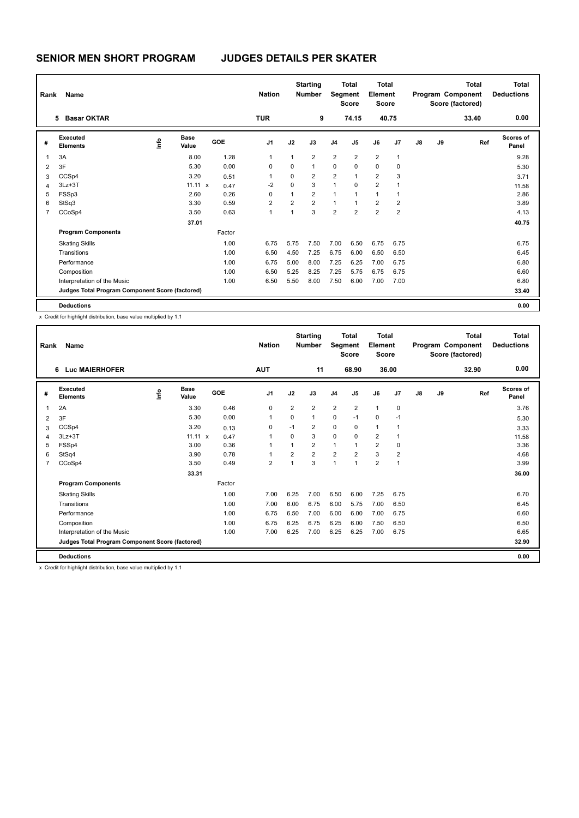| Rank           | Name                                            |      |                      |            | <b>Nation</b>  |                | <b>Starting</b><br><b>Number</b> |                | <b>Total</b><br><b>Segment</b><br><b>Score</b> | <b>Total</b><br>Element<br><b>Score</b> |                |    |    | <b>Total</b><br>Program Component<br>Score (factored) | <b>Total</b><br><b>Deductions</b> |
|----------------|-------------------------------------------------|------|----------------------|------------|----------------|----------------|----------------------------------|----------------|------------------------------------------------|-----------------------------------------|----------------|----|----|-------------------------------------------------------|-----------------------------------|
|                | <b>Basar OKTAR</b><br>5.                        |      |                      |            | <b>TUR</b>     |                | 9                                |                | 74.15                                          |                                         | 40.75          |    |    | 33.40                                                 | 0.00                              |
| #              | Executed<br><b>Elements</b>                     | ١mfo | <b>Base</b><br>Value | <b>GOE</b> | J <sub>1</sub> | J2             | J3                               | J <sub>4</sub> | J <sub>5</sub>                                 | J6                                      | J <sub>7</sub> | J8 | J9 | Ref                                                   | <b>Scores of</b><br>Panel         |
| $\overline{1}$ | 3A                                              |      | 8.00                 | 1.28       | 1              | 1              | $\overline{2}$                   | $\overline{2}$ | $\overline{2}$                                 | $\overline{2}$                          | $\mathbf{1}$   |    |    |                                                       | 9.28                              |
| 2              | 3F                                              |      | 5.30                 | 0.00       | 0              | 0              | $\mathbf{1}$                     | 0              | $\mathbf 0$                                    | $\mathbf 0$                             | $\mathbf 0$    |    |    |                                                       | 5.30                              |
| 3              | CCSp4                                           |      | 3.20                 | 0.51       | 1              | 0              | 2                                | $\overline{2}$ | $\overline{1}$                                 | $\overline{2}$                          | 3              |    |    |                                                       | 3.71                              |
| 4              | $3Lz + 3T$                                      |      | 11.11 x              | 0.47       | $-2$           | 0              | 3                                | 1              | $\mathbf 0$                                    | $\overline{2}$                          | 1              |    |    |                                                       | 11.58                             |
| 5              | FSSp3                                           |      | 2.60                 | 0.26       | 0              | $\mathbf{1}$   | $\overline{2}$                   | $\mathbf{1}$   | 1                                              | $\mathbf{1}$                            | 1              |    |    |                                                       | 2.86                              |
| 6              | StSq3                                           |      | 3.30                 | 0.59       | $\overline{2}$ | $\overline{2}$ | $\overline{2}$                   | $\mathbf{1}$   | $\mathbf{1}$                                   | $\overline{2}$                          | $\overline{2}$ |    |    |                                                       | 3.89                              |
| 7              | CCoSp4                                          |      | 3.50                 | 0.63       | 1              | 1              | 3                                | $\overline{2}$ | $\overline{2}$                                 | $\overline{2}$                          | 2              |    |    |                                                       | 4.13                              |
|                |                                                 |      | 37.01                |            |                |                |                                  |                |                                                |                                         |                |    |    |                                                       | 40.75                             |
|                | <b>Program Components</b>                       |      |                      | Factor     |                |                |                                  |                |                                                |                                         |                |    |    |                                                       |                                   |
|                | <b>Skating Skills</b>                           |      |                      | 1.00       | 6.75           | 5.75           | 7.50                             | 7.00           | 6.50                                           | 6.75                                    | 6.75           |    |    |                                                       | 6.75                              |
|                | Transitions                                     |      |                      | 1.00       | 6.50           | 4.50           | 7.25                             | 6.75           | 6.00                                           | 6.50                                    | 6.50           |    |    |                                                       | 6.45                              |
|                | Performance                                     |      |                      | 1.00       | 6.75           | 5.00           | 8.00                             | 7.25           | 6.25                                           | 7.00                                    | 6.75           |    |    |                                                       | 6.80                              |
|                | Composition                                     |      |                      | 1.00       | 6.50           | 5.25           | 8.25                             | 7.25           | 5.75                                           | 6.75                                    | 6.75           |    |    |                                                       | 6.60                              |
|                | Interpretation of the Music                     |      |                      | 1.00       | 6.50           | 5.50           | 8.00                             | 7.50           | 6.00                                           | 7.00                                    | 7.00           |    |    |                                                       | 6.80                              |
|                | Judges Total Program Component Score (factored) |      |                      |            |                |                |                                  |                |                                                |                                         |                |    |    |                                                       | 33.40                             |
|                | <b>Deductions</b>                               |      |                      |            |                |                |                                  |                |                                                |                                         |                |    |    |                                                       | 0.00                              |

x Credit for highlight distribution, base value multiplied by 1.1

| Rank           | Name                                            |      |                      |        | <b>Nation</b>  |                | <b>Starting</b><br><b>Number</b> | Segment        | <b>Total</b><br><b>Score</b> | <b>Total</b><br>Element<br><b>Score</b> |                |               |    | <b>Total</b><br>Program Component<br>Score (factored) | <b>Total</b><br><b>Deductions</b> |
|----------------|-------------------------------------------------|------|----------------------|--------|----------------|----------------|----------------------------------|----------------|------------------------------|-----------------------------------------|----------------|---------------|----|-------------------------------------------------------|-----------------------------------|
|                | <b>Luc MAIERHOFER</b><br>6                      |      |                      |        | <b>AUT</b>     |                | 11                               |                | 68.90                        |                                         | 36.00          |               |    | 32.90                                                 | 0.00                              |
| #              | Executed<br><b>Elements</b>                     | lnfo | <b>Base</b><br>Value | GOE    | J <sub>1</sub> | J2             | J3                               | J <sub>4</sub> | J <sub>5</sub>               | J6                                      | J7             | $\mathsf{J}8$ | J9 | Ref                                                   | Scores of<br>Panel                |
| $\overline{1}$ | 2A                                              |      | 3.30                 | 0.46   | $\mathbf 0$    | $\overline{2}$ | $\overline{2}$                   | $\overline{2}$ | $\overline{2}$               | $\mathbf{1}$                            | $\mathbf 0$    |               |    |                                                       | 3.76                              |
| 2              | 3F                                              |      | 5.30                 | 0.00   | $\overline{1}$ | $\Omega$       | $\mathbf{1}$                     | 0              | $-1$                         | $\Omega$                                | $-1$           |               |    |                                                       | 5.30                              |
| 3              | CCSp4                                           |      | 3.20                 | 0.13   | 0              | $-1$           | $\overline{2}$                   | 0              | 0                            | $\mathbf{1}$                            | $\overline{1}$ |               |    |                                                       | 3.33                              |
| 4              | $3Lz + 3T$                                      |      | $11.11 \times$       | 0.47   | 1              | $\Omega$       | 3                                | $\Omega$       | $\Omega$                     | $\overline{2}$                          | -1             |               |    |                                                       | 11.58                             |
| 5              | FSSp4                                           |      | 3.00                 | 0.36   | 1              |                | $\overline{2}$                   | $\mathbf{1}$   |                              | $\overline{2}$                          | 0              |               |    |                                                       | 3.36                              |
| 6              | StSq4                                           |      | 3.90                 | 0.78   | 1              | $\overline{2}$ | $\overline{2}$                   | $\overline{2}$ | $\overline{2}$               | 3                                       | $\overline{2}$ |               |    |                                                       | 4.68                              |
| $\overline{7}$ | CCoSp4                                          |      | 3.50                 | 0.49   | $\overline{2}$ |                | 3                                | 1              | $\overline{1}$               | $\overline{2}$                          | $\overline{1}$ |               |    |                                                       | 3.99                              |
|                |                                                 |      | 33.31                |        |                |                |                                  |                |                              |                                         |                |               |    |                                                       | 36.00                             |
|                | <b>Program Components</b>                       |      |                      | Factor |                |                |                                  |                |                              |                                         |                |               |    |                                                       |                                   |
|                | <b>Skating Skills</b>                           |      |                      | 1.00   | 7.00           | 6.25           | 7.00                             | 6.50           | 6.00                         | 7.25                                    | 6.75           |               |    |                                                       | 6.70                              |
|                | Transitions                                     |      |                      | 1.00   | 7.00           | 6.00           | 6.75                             | 6.00           | 5.75                         | 7.00                                    | 6.50           |               |    |                                                       | 6.45                              |
|                | Performance                                     |      |                      | 1.00   | 6.75           | 6.50           | 7.00                             | 6.00           | 6.00                         | 7.00                                    | 6.75           |               |    |                                                       | 6.60                              |
|                | Composition                                     |      |                      | 1.00   | 6.75           | 6.25           | 6.75                             | 6.25           | 6.00                         | 7.50                                    | 6.50           |               |    |                                                       | 6.50                              |
|                | Interpretation of the Music                     |      |                      | 1.00   | 7.00           | 6.25           | 7.00                             | 6.25           | 6.25                         | 7.00                                    | 6.75           |               |    |                                                       | 6.65                              |
|                | Judges Total Program Component Score (factored) |      |                      |        |                |                |                                  |                |                              |                                         |                |               |    |                                                       | 32.90                             |
|                | <b>Deductions</b>                               |      |                      |        |                |                |                                  |                |                              |                                         |                |               |    |                                                       | 0.00                              |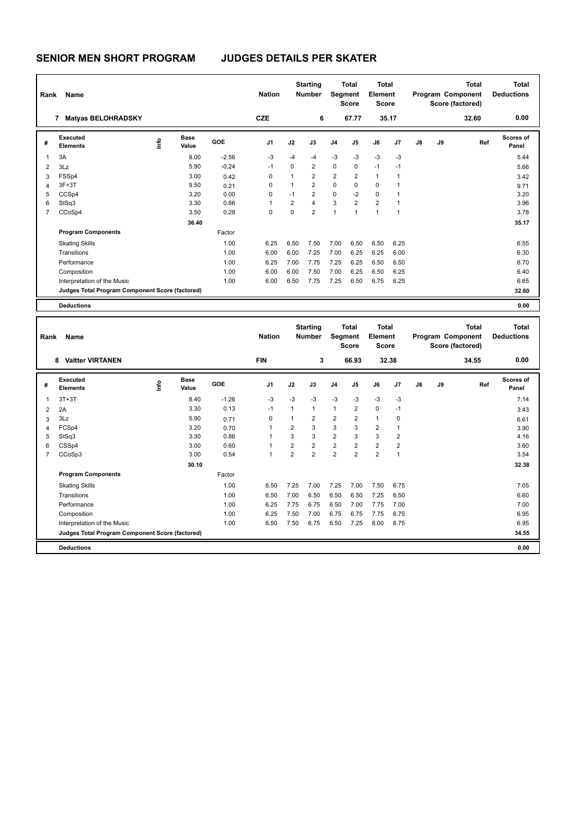| Rank | Name                                            |      |                      |            | <b>Nation</b>  |                | <b>Starting</b><br><b>Number</b> |                | <b>Total</b><br>Segment<br><b>Score</b> | <b>Total</b><br>Element<br><b>Score</b> |                |    |    | <b>Total</b><br>Program Component<br>Score (factored) | <b>Total</b><br><b>Deductions</b> |
|------|-------------------------------------------------|------|----------------------|------------|----------------|----------------|----------------------------------|----------------|-----------------------------------------|-----------------------------------------|----------------|----|----|-------------------------------------------------------|-----------------------------------|
|      | <b>Matyas BELOHRADSKY</b><br>7                  |      |                      |            | <b>CZE</b>     |                | 6                                |                | 67.77                                   | 35.17                                   |                |    |    | 32.60                                                 | 0.00                              |
| #    | Executed<br><b>Elements</b>                     | lnfo | <b>Base</b><br>Value | <b>GOE</b> | J <sub>1</sub> | J2             | J3                               | J <sub>4</sub> | J <sub>5</sub>                          | J6                                      | J <sub>7</sub> | J8 | J9 | Ref                                                   | Scores of<br>Panel                |
|      | 3A                                              |      | 8.00                 | $-2.56$    | -3             | -4             | $-4$                             | $-3$           | -3                                      | $-3$                                    | $-3$           |    |    |                                                       | 5.44                              |
| 2    | 3Lz                                             |      | 5.90                 | $-0.24$    | $-1$           | $\Omega$       | $\overline{2}$                   | $\mathbf 0$    | $\mathbf 0$                             | $-1$                                    | $-1$           |    |    |                                                       | 5.66                              |
| 3    | FSSp4                                           |      | 3.00                 | 0.42       | 0              |                | $\overline{2}$                   | $\overline{2}$ | $\overline{2}$                          | $\mathbf{1}$                            |                |    |    |                                                       | 3.42                              |
| 4    | $3F+3T$                                         |      | 9.50                 | 0.21       | 0              |                | $\overline{2}$                   | $\mathbf 0$    | $\mathbf 0$                             | $\mathbf 0$                             |                |    |    |                                                       | 9.71                              |
| 5    | CCSp4                                           |      | 3.20                 | 0.00       | 0              | $-1$           | $\overline{2}$                   | $\mathbf 0$    | $-2$                                    | 0                                       |                |    |    |                                                       | 3.20                              |
| 6    | StSq3                                           |      | 3.30                 | 0.66       | 1              | $\overline{2}$ | 4                                | 3              | $\overline{2}$                          | $\overline{2}$                          | 1              |    |    |                                                       | 3.96                              |
|      | CCoSp4                                          |      | 3.50                 | 0.28       | 0              | $\mathbf 0$    | $\overline{2}$                   | $\mathbf{1}$   | $\overline{1}$                          | $\overline{1}$                          | 1              |    |    |                                                       | 3.78                              |
|      |                                                 |      | 36.40                |            |                |                |                                  |                |                                         |                                         |                |    |    |                                                       | 35.17                             |
|      | <b>Program Components</b>                       |      |                      | Factor     |                |                |                                  |                |                                         |                                         |                |    |    |                                                       |                                   |
|      | <b>Skating Skills</b>                           |      |                      | 1.00       | 6.25           | 6.50           | 7.50                             | 7.00           | 6.50                                    | 6.50                                    | 6.25           |    |    |                                                       | 6.55                              |
|      | Transitions                                     |      |                      | 1.00       | 6.00           | 6.00           | 7.25                             | 7.00           | 6.25                                    | 6.25                                    | 6.00           |    |    |                                                       | 6.30                              |
|      | Performance                                     |      |                      | 1.00       | 6.25           | 7.00           | 7.75                             | 7.25           | 6.25                                    | 6.50                                    | 6.50           |    |    |                                                       | 6.70                              |
|      | Composition                                     |      |                      | 1.00       | 6.00           | 6.00           | 7.50                             | 7.00           | 6.25                                    | 6.50                                    | 6.25           |    |    |                                                       | 6.40                              |
|      | Interpretation of the Music                     |      |                      | 1.00       | 6.00           | 6.50           | 7.75                             | 7.25           | 6.50                                    | 6.75                                    | 6.25           |    |    |                                                       | 6.65                              |
|      | Judges Total Program Component Score (factored) |      |                      |            |                |                |                                  |                |                                         |                                         |                |    |    |                                                       | 32.60                             |
|      | <b>Deductions</b>                               |      |                      |            |                |                |                                  |                |                                         |                                         |                |    |    |                                                       | 0.00                              |

| Rank | Name                                            |            |                      |            | <b>Nation</b>  |                | <b>Starting</b><br><b>Number</b> | Segment        | <b>Total</b><br><b>Score</b> | <b>Total</b><br>Element<br>Score |                |    |    | <b>Total</b><br>Program Component<br>Score (factored) | <b>Total</b><br><b>Deductions</b> |
|------|-------------------------------------------------|------------|----------------------|------------|----------------|----------------|----------------------------------|----------------|------------------------------|----------------------------------|----------------|----|----|-------------------------------------------------------|-----------------------------------|
|      | <b>Valtter VIRTANEN</b><br>8                    |            |                      |            | <b>FIN</b>     |                | 3                                |                | 66.93                        |                                  | 32.38          |    |    | 34.55                                                 | 0.00                              |
| #    | <b>Executed</b><br><b>Elements</b>              | <b>Lin</b> | <b>Base</b><br>Value | <b>GOE</b> | J <sub>1</sub> | J2             | J3                               | J4             | J5                           | J6                               | J <sub>7</sub> | J8 | J9 | Ref                                                   | Scores of<br>Panel                |
| 1    | $3T+3T$                                         |            | 8.40                 | $-1.26$    | -3             | $-3$           | $-3$                             | $-3$           | -3                           | $-3$                             | $-3$           |    |    |                                                       | 7.14                              |
| 2    | 2A                                              |            | 3.30                 | 0.13       | $-1$           | $\mathbf{1}$   | 1                                | $\mathbf{1}$   | $\overline{2}$               | $\mathbf 0$                      | $-1$           |    |    |                                                       | 3.43                              |
| 3    | 3Lz                                             |            | 5.90                 | 0.71       | $\mathbf 0$    | 1              | 2                                | 2              | $\overline{2}$               | 1                                | 0              |    |    |                                                       | 6.61                              |
| 4    | FCSp4                                           |            | 3.20                 | 0.70       | $\overline{1}$ | $\overline{2}$ | 3                                | 3              | 3                            | $\overline{2}$                   | 1              |    |    |                                                       | 3.90                              |
| 5    | StSq3                                           |            | 3.30                 | 0.86       |                | 3              | 3                                | $\overline{2}$ | 3                            | 3                                | $\overline{2}$ |    |    |                                                       | 4.16                              |
| 6    | CSSp4                                           |            | 3.00                 | 0.60       | $\overline{1}$ | $\overline{2}$ | $\overline{2}$                   | $\overline{2}$ | $\overline{2}$               | $\overline{2}$                   | $\overline{2}$ |    |    |                                                       | 3.60                              |
| 7    | CCoSp3                                          |            | 3.00                 | 0.54       | $\mathbf{1}$   | $\overline{2}$ | $\overline{2}$                   | $\overline{2}$ | $\overline{2}$               | $\overline{2}$                   | $\mathbf{1}$   |    |    |                                                       | 3.54                              |
|      |                                                 |            | 30.10                |            |                |                |                                  |                |                              |                                  |                |    |    |                                                       | 32.38                             |
|      | <b>Program Components</b>                       |            |                      | Factor     |                |                |                                  |                |                              |                                  |                |    |    |                                                       |                                   |
|      | <b>Skating Skills</b>                           |            |                      | 1.00       | 6.50           | 7.25           | 7.00                             | 7.25           | 7.00                         | 7.50                             | 6.75           |    |    |                                                       | 7.05                              |
|      | Transitions                                     |            |                      | 1.00       | 6.50           | 7.00           | 6.50                             | 6.50           | 6.50                         | 7.25                             | 6.50           |    |    |                                                       | 6.60                              |
|      | Performance                                     |            |                      | 1.00       | 6.25           | 7.75           | 6.75                             | 6.50           | 7.00                         | 7.75                             | 7.00           |    |    |                                                       | 7.00                              |
|      | Composition                                     |            |                      | 1.00       | 6.25           | 7.50           | 7.00                             | 6.75           | 6.75                         | 7.75                             | 6.75           |    |    |                                                       | 6.95                              |
|      | Interpretation of the Music                     |            |                      | 1.00       | 6.50           | 7.50           | 6.75                             | 6.50           | 7.25                         | 8.00                             | 6.75           |    |    |                                                       | 6.95                              |
|      | Judges Total Program Component Score (factored) |            |                      |            |                |                |                                  |                |                              |                                  |                |    |    |                                                       | 34.55                             |
|      | <b>Deductions</b>                               |            |                      |            |                |                |                                  |                |                              |                                  |                |    |    |                                                       | 0.00                              |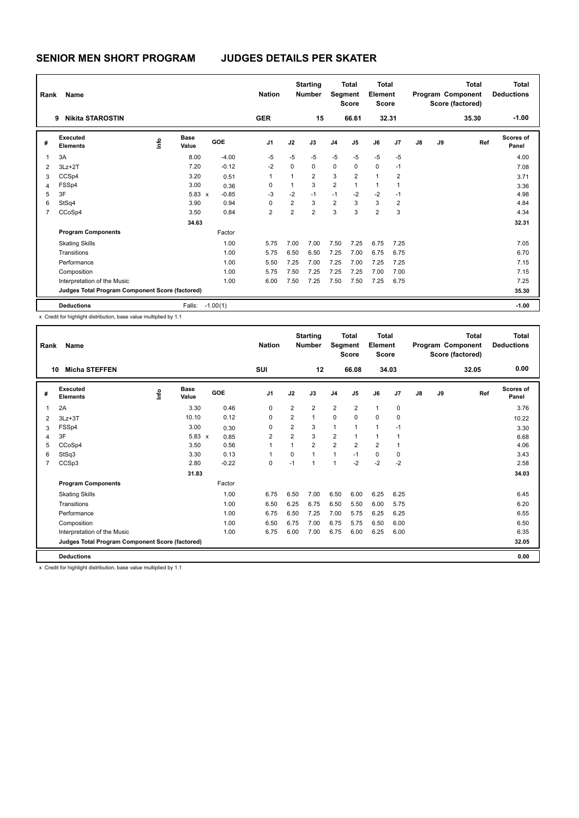| Rank           | Name                                            |      |                      |                 | <b>Nation</b>  |      | <b>Starting</b><br><b>Number</b> | Segment        | <b>Total</b><br><b>Score</b> | <b>Total</b><br>Element<br>Score |                |    |    | <b>Total</b><br>Program Component<br>Score (factored) | <b>Total</b><br><b>Deductions</b> |
|----------------|-------------------------------------------------|------|----------------------|-----------------|----------------|------|----------------------------------|----------------|------------------------------|----------------------------------|----------------|----|----|-------------------------------------------------------|-----------------------------------|
|                | <b>Nikita STAROSTIN</b><br>9                    |      |                      |                 | <b>GER</b>     |      | 15                               |                | 66.61                        |                                  | 32.31          |    |    | 35.30                                                 | $-1.00$                           |
| #              | Executed<br><b>Elements</b>                     | lnfo | <b>Base</b><br>Value | <b>GOE</b>      | J <sub>1</sub> | J2   | J3                               | J <sub>4</sub> | J <sub>5</sub>               | J6                               | J <sub>7</sub> | J8 | J9 | Ref                                                   | <b>Scores of</b><br>Panel         |
| $\overline{1}$ | 3A                                              |      | 8.00                 | $-4.00$         | $-5$           | $-5$ | $-5$                             | $-5$           | $-5$                         | $-5$                             | $-5$           |    |    |                                                       | 4.00                              |
| 2              | $3Lz + 2T$                                      |      | 7.20                 | $-0.12$         | $-2$           | 0    | $\mathbf 0$                      | $\mathbf 0$    | $\mathbf 0$                  | $\mathbf 0$                      | $-1$           |    |    |                                                       | 7.08                              |
| 3              | CCSp4                                           |      | 3.20                 | 0.51            | 1              | 1    | $\overline{2}$                   | 3              | $\overline{2}$               | $\mathbf{1}$                     | 2              |    |    |                                                       | 3.71                              |
| $\overline{4}$ | FSSp4                                           |      | 3.00                 | 0.36            | 0              | 1    | 3                                | $\overline{2}$ | $\overline{1}$               | $\mathbf{1}$                     | 1              |    |    |                                                       | 3.36                              |
| 5              | 3F                                              |      | $5.83 \times$        | $-0.85$         | $-3$           | $-2$ | $-1$                             | $-1$           | $-2$                         | $-2$                             | $-1$           |    |    |                                                       | 4.98                              |
| 6              | StSq4                                           |      | 3.90                 | 0.94            | 0              | 2    | 3                                | $\overline{2}$ | 3                            | 3                                | $\overline{2}$ |    |    |                                                       | 4.84                              |
| $\overline{7}$ | CCoSp4                                          |      | 3.50                 | 0.84            | 2              | 2    | $\overline{2}$                   | 3              | 3                            | $\overline{2}$                   | 3              |    |    |                                                       | 4.34                              |
|                |                                                 |      | 34.63                |                 |                |      |                                  |                |                              |                                  |                |    |    |                                                       | 32.31                             |
|                | <b>Program Components</b>                       |      |                      | Factor          |                |      |                                  |                |                              |                                  |                |    |    |                                                       |                                   |
|                | <b>Skating Skills</b>                           |      |                      | 1.00            | 5.75           | 7.00 | 7.00                             | 7.50           | 7.25                         | 6.75                             | 7.25           |    |    |                                                       | 7.05                              |
|                | Transitions                                     |      |                      | 1.00            | 5.75           | 6.50 | 6.50                             | 7.25           | 7.00                         | 6.75                             | 6.75           |    |    |                                                       | 6.70                              |
|                | Performance                                     |      |                      | 1.00            | 5.50           | 7.25 | 7.00                             | 7.25           | 7.00                         | 7.25                             | 7.25           |    |    |                                                       | 7.15                              |
|                | Composition                                     |      |                      | 1.00            | 5.75           | 7.50 | 7.25                             | 7.25           | 7.25                         | 7.00                             | 7.00           |    |    |                                                       | 7.15                              |
|                | Interpretation of the Music                     |      |                      | 1.00            | 6.00           | 7.50 | 7.25                             | 7.50           | 7.50                         | 7.25                             | 6.75           |    |    |                                                       | 7.25                              |
|                | Judges Total Program Component Score (factored) |      |                      |                 |                |      |                                  |                |                              |                                  |                |    |    |                                                       | 35.30                             |
|                | <b>Deductions</b>                               |      |                      | Falls: -1.00(1) |                |      |                                  |                |                              |                                  |                |    |    |                                                       | $-1.00$                           |

x Credit for highlight distribution, base value multiplied by 1.1

| Rank           | Name                                            |                                  |                      |         | <b>Nation</b>  |                | <b>Starting</b><br><b>Number</b> | Segment        | Total<br><b>Score</b> | Total<br>Element<br><b>Score</b> |                |    |    | Total<br>Program Component<br>Score (factored) | Total<br><b>Deductions</b> |
|----------------|-------------------------------------------------|----------------------------------|----------------------|---------|----------------|----------------|----------------------------------|----------------|-----------------------|----------------------------------|----------------|----|----|------------------------------------------------|----------------------------|
|                | <b>Micha STEFFEN</b><br>10                      |                                  |                      |         | SUI            |                | 12                               |                | 66.08                 |                                  | 34.03          |    |    | 32.05                                          | 0.00                       |
| #              | Executed<br><b>Elements</b>                     | $\mathop{\mathsf{Irr}}\nolimits$ | <b>Base</b><br>Value | GOE     | J <sub>1</sub> | J2             | J3                               | J <sub>4</sub> | J <sub>5</sub>        | J6                               | J <sub>7</sub> | J8 | J9 | Ref                                            | <b>Scores of</b><br>Panel  |
| 1              | 2A                                              |                                  | 3.30                 | 0.46    | 0              | $\overline{2}$ | $\overline{2}$                   | $\overline{2}$ | 2                     | $\mathbf{1}$                     | 0              |    |    |                                                | 3.76                       |
| 2              | $3Lz + 3T$                                      |                                  | 10.10                | 0.12    | 0              | $\overline{2}$ | 1                                | $\Omega$       | $\Omega$              | $\Omega$                         | $\mathbf 0$    |    |    |                                                | 10.22                      |
| 3              | FSS <sub>p4</sub>                               |                                  | 3.00                 | 0.30    | $\mathbf 0$    | 2              | 3                                | $\mathbf{1}$   | $\mathbf{1}$          | $\mathbf{1}$                     | $-1$           |    |    |                                                | 3.30                       |
| 4              | 3F                                              |                                  | $5.83 \times$        | 0.85    | $\overline{2}$ | $\overline{2}$ | 3                                | $\overline{2}$ | $\mathbf{1}$          | 1                                | $\overline{1}$ |    |    |                                                | 6.68                       |
| 5              | CCoSp4                                          |                                  | 3.50                 | 0.56    | $\overline{1}$ | $\overline{1}$ | $\overline{2}$                   | $\overline{2}$ | $\overline{2}$        | $\overline{2}$                   | 1              |    |    |                                                | 4.06                       |
| 6              | StSq3                                           |                                  | 3.30                 | 0.13    | $\overline{1}$ | 0              | 1                                | $\mathbf{1}$   | $-1$                  | $\mathbf 0$                      | $\mathbf 0$    |    |    |                                                | 3.43                       |
| $\overline{7}$ | CCSp3                                           |                                  | 2.80                 | $-0.22$ | 0              | $-1$           | 1                                | $\overline{1}$ | $-2$                  | $-2$                             | $-2$           |    |    |                                                | 2.58                       |
|                |                                                 |                                  | 31.83                |         |                |                |                                  |                |                       |                                  |                |    |    |                                                | 34.03                      |
|                | <b>Program Components</b>                       |                                  |                      | Factor  |                |                |                                  |                |                       |                                  |                |    |    |                                                |                            |
|                | <b>Skating Skills</b>                           |                                  |                      | 1.00    | 6.75           | 6.50           | 7.00                             | 6.50           | 6.00                  | 6.25                             | 6.25           |    |    |                                                | 6.45                       |
|                | Transitions                                     |                                  |                      | 1.00    | 6.50           | 6.25           | 6.75                             | 6.50           | 5.50                  | 6.00                             | 5.75           |    |    |                                                | 6.20                       |
|                | Performance                                     |                                  |                      | 1.00    | 6.75           | 6.50           | 7.25                             | 7.00           | 5.75                  | 6.25                             | 6.25           |    |    |                                                | 6.55                       |
|                | Composition                                     |                                  |                      | 1.00    | 6.50           | 6.75           | 7.00                             | 6.75           | 5.75                  | 6.50                             | 6.00           |    |    |                                                | 6.50                       |
|                | Interpretation of the Music                     |                                  |                      | 1.00    | 6.75           | 6.00           | 7.00                             | 6.75           | 6.00                  | 6.25                             | 6.00           |    |    |                                                | 6.35                       |
|                | Judges Total Program Component Score (factored) |                                  |                      |         |                |                |                                  |                |                       |                                  |                |    |    |                                                | 32.05                      |
|                | <b>Deductions</b>                               |                                  |                      |         |                |                |                                  |                |                       |                                  |                |    |    |                                                | 0.00                       |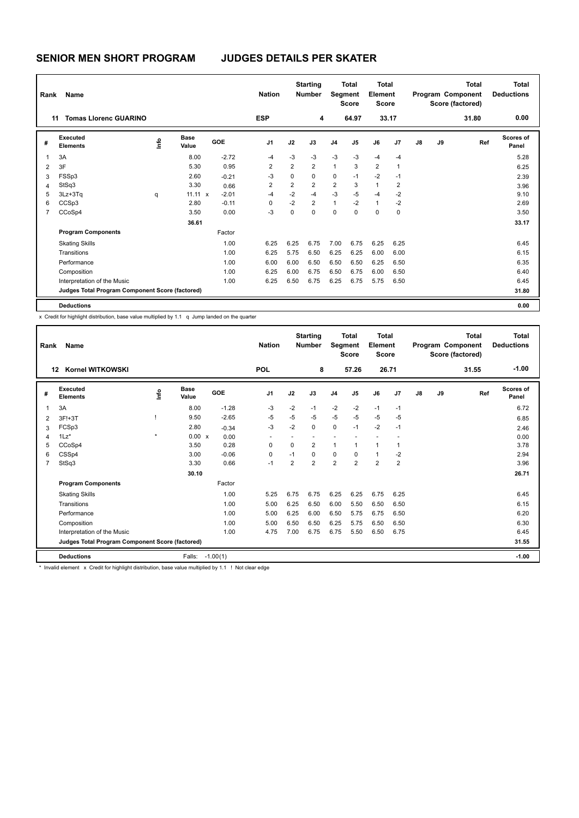| Rank | Name                                            |      |                      |         | <b>Nation</b>  |                | <b>Starting</b><br><b>Number</b> |                | <b>Total</b><br>Segment<br><b>Score</b> | Total<br>Element<br><b>Score</b> |                |    |    | <b>Total</b><br>Program Component<br>Score (factored) | <b>Total</b><br><b>Deductions</b> |
|------|-------------------------------------------------|------|----------------------|---------|----------------|----------------|----------------------------------|----------------|-----------------------------------------|----------------------------------|----------------|----|----|-------------------------------------------------------|-----------------------------------|
|      | <b>Tomas Llorenc GUARINO</b><br>11              |      |                      |         | <b>ESP</b>     |                | 4                                |                | 64.97                                   |                                  | 33.17          |    |    | 31.80                                                 | 0.00                              |
| #    | Executed<br><b>Elements</b>                     | lnfo | <b>Base</b><br>Value | GOE     | J <sub>1</sub> | J2             | J3                               | J <sub>4</sub> | J <sub>5</sub>                          | J6                               | J <sub>7</sub> | J8 | J9 | Ref                                                   | <b>Scores of</b><br>Panel         |
| 1    | 3A                                              |      | 8.00                 | $-2.72$ | $-4$           | $-3$           | $-3$                             | $-3$           | $-3$                                    | $-4$                             | $-4$           |    |    |                                                       | 5.28                              |
| 2    | 3F                                              |      | 5.30                 | 0.95    | $\overline{2}$ | $\overline{2}$ | $\overline{2}$                   | $\mathbf{1}$   | 3                                       | $\overline{2}$                   | $\mathbf{1}$   |    |    |                                                       | 6.25                              |
| 3    | FSSp3                                           |      | 2.60                 | $-0.21$ | $-3$           | $\mathbf 0$    | $\mathbf 0$                      | $\mathbf 0$    | $-1$                                    | $-2$                             | $-1$           |    |    |                                                       | 2.39                              |
| 4    | StSq3                                           |      | 3.30                 | 0.66    | $\overline{2}$ | $\overline{2}$ | $\overline{2}$                   | $\overline{2}$ | 3                                       | $\mathbf{1}$                     | 2              |    |    |                                                       | 3.96                              |
| 5    | $3Lz + 3Tq$                                     | q    | $11.11 \times$       | $-2.01$ | $-4$           | $-2$           | $-4$                             | $-3$           | $-5$                                    | $-4$                             | $-2$           |    |    |                                                       | 9.10                              |
| 6    | CCSp3                                           |      | 2.80                 | $-0.11$ | 0              | $-2$           | $\overline{2}$                   | $\mathbf{1}$   | $-2$                                    | $\mathbf{1}$                     | $-2$           |    |    |                                                       | 2.69                              |
| 7    | CCoSp4                                          |      | 3.50                 | 0.00    | $-3$           | 0              | $\mathbf 0$                      | $\mathbf 0$    | 0                                       | 0                                | 0              |    |    |                                                       | 3.50                              |
|      |                                                 |      | 36.61                |         |                |                |                                  |                |                                         |                                  |                |    |    |                                                       | 33.17                             |
|      | <b>Program Components</b>                       |      |                      | Factor  |                |                |                                  |                |                                         |                                  |                |    |    |                                                       |                                   |
|      | <b>Skating Skills</b>                           |      |                      | 1.00    | 6.25           | 6.25           | 6.75                             | 7.00           | 6.75                                    | 6.25                             | 6.25           |    |    |                                                       | 6.45                              |
|      | Transitions                                     |      |                      | 1.00    | 6.25           | 5.75           | 6.50                             | 6.25           | 6.25                                    | 6.00                             | 6.00           |    |    |                                                       | 6.15                              |
|      | Performance                                     |      |                      | 1.00    | 6.00           | 6.00           | 6.50                             | 6.50           | 6.50                                    | 6.25                             | 6.50           |    |    |                                                       | 6.35                              |
|      | Composition                                     |      |                      | 1.00    | 6.25           | 6.00           | 6.75                             | 6.50           | 6.75                                    | 6.00                             | 6.50           |    |    |                                                       | 6.40                              |
|      | Interpretation of the Music                     |      |                      | 1.00    | 6.25           | 6.50           | 6.75                             | 6.25           | 6.75                                    | 5.75                             | 6.50           |    |    |                                                       | 6.45                              |
|      | Judges Total Program Component Score (factored) |      |                      |         |                |                |                                  |                |                                         |                                  |                |    |    |                                                       | 31.80                             |
|      | <b>Deductions</b>                               |      |                      |         |                |                |                                  |                |                                         |                                  |                |    |    |                                                       | 0.00                              |

x Credit for highlight distribution, base value multiplied by 1.1 q Jump landed on the quarter

| Rank           | Name                                            |         |                      |            | <b>Nation</b>            |                | <b>Starting</b><br><b>Number</b> | Segment        | <b>Total</b><br><b>Score</b> | <b>Total</b><br>Element<br><b>Score</b> |                |               |    | <b>Total</b><br>Program Component<br>Score (factored) | Total<br><b>Deductions</b> |
|----------------|-------------------------------------------------|---------|----------------------|------------|--------------------------|----------------|----------------------------------|----------------|------------------------------|-----------------------------------------|----------------|---------------|----|-------------------------------------------------------|----------------------------|
|                | Kornel WITKOWSKI<br>12                          |         |                      |            | <b>POL</b>               |                | 8                                |                | 57.26                        | 26.71                                   |                |               |    | 31.55                                                 | $-1.00$                    |
| #              | Executed<br><b>Elements</b>                     | lnfo    | <b>Base</b><br>Value | GOE        | J <sub>1</sub>           | J2             | J3                               | J <sub>4</sub> | J5                           | J6                                      | J7             | $\mathsf{J}8$ | J9 | Ref                                                   | Scores of<br>Panel         |
| 1              | 3A                                              |         | 8.00                 | $-1.28$    | $-3$                     | $-2$           | $-1$                             | $-2$           | $-2$                         | $-1$                                    | $-1$           |               |    |                                                       | 6.72                       |
| 2              | 3F!+3T                                          |         | 9.50                 | $-2.65$    | $-5$                     | $-5$           | $-5$                             | $-5$           | $-5$                         | $-5$                                    | $-5$           |               |    |                                                       | 6.85                       |
| 3              | FCSp3                                           |         | 2.80                 | $-0.34$    | $-3$                     | $-2$           | $\mathbf 0$                      | $\mathbf 0$    | $-1$                         | $-2$                                    | $-1$           |               |    |                                                       | 2.46                       |
| 4              | $1\text{Lz}^*$                                  | $\star$ | 0.00 x               | 0.00       | $\overline{\phantom{a}}$ | ٠              | $\overline{a}$                   |                | ٠                            |                                         |                |               |    |                                                       | 0.00                       |
| 5              | CCoSp4                                          |         | 3.50                 | 0.28       | 0                        | 0              | $\overline{2}$                   | $\mathbf{1}$   | 1                            | $\mathbf{1}$                            | 1              |               |    |                                                       | 3.78                       |
| 6              | CSSp4                                           |         | 3.00                 | $-0.06$    | 0                        | $-1$           | $\mathbf 0$                      | 0              | 0                            | $\mathbf{1}$                            | $-2$           |               |    |                                                       | 2.94                       |
| $\overline{7}$ | StSq3                                           |         | 3.30                 | 0.66       | $-1$                     | $\overline{2}$ | $\overline{2}$                   | $\overline{2}$ | $\overline{2}$               | $\overline{2}$                          | $\overline{2}$ |               |    |                                                       | 3.96                       |
|                |                                                 |         | 30.10                |            |                          |                |                                  |                |                              |                                         |                |               |    |                                                       | 26.71                      |
|                | <b>Program Components</b>                       |         |                      | Factor     |                          |                |                                  |                |                              |                                         |                |               |    |                                                       |                            |
|                | <b>Skating Skills</b>                           |         |                      | 1.00       | 5.25                     | 6.75           | 6.75                             | 6.25           | 6.25                         | 6.75                                    | 6.25           |               |    |                                                       | 6.45                       |
|                | Transitions                                     |         |                      | 1.00       | 5.00                     | 6.25           | 6.50                             | 6.00           | 5.50                         | 6.50                                    | 6.50           |               |    |                                                       | 6.15                       |
|                | Performance                                     |         |                      | 1.00       | 5.00                     | 6.25           | 6.00                             | 6.50           | 5.75                         | 6.75                                    | 6.50           |               |    |                                                       | 6.20                       |
|                | Composition                                     |         |                      | 1.00       | 5.00                     | 6.50           | 6.50                             | 6.25           | 5.75                         | 6.50                                    | 6.50           |               |    |                                                       | 6.30                       |
|                | Interpretation of the Music                     |         |                      | 1.00       | 4.75                     | 7.00           | 6.75                             | 6.75           | 5.50                         | 6.50                                    | 6.75           |               |    |                                                       | 6.45                       |
|                | Judges Total Program Component Score (factored) |         |                      |            |                          |                |                                  |                |                              |                                         |                |               |    |                                                       | 31.55                      |
|                | <b>Deductions</b>                               |         | Falls:               | $-1.00(1)$ |                          |                |                                  |                |                              |                                         |                |               |    |                                                       | $-1.00$                    |

\* Invalid element x Credit for highlight distribution, base value multiplied by 1.1 ! Not clear edge